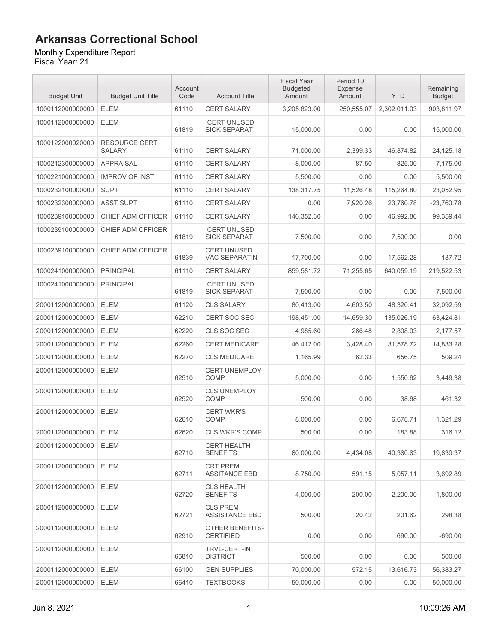#### Monthly Expenditure Report

| <b>Budget Unit</b> | <b>Budget Unit Title</b>              | Account<br>Code | <b>Account Title</b>                       | <b>Fiscal Year</b><br><b>Budgeted</b><br>Amount | Period 10<br><b>Expense</b><br>Amount | <b>YTD</b>   | Remaining<br><b>Budget</b> |
|--------------------|---------------------------------------|-----------------|--------------------------------------------|-------------------------------------------------|---------------------------------------|--------------|----------------------------|
| 1000112000000000   | <b>ELEM</b>                           | 61110           | <b>CERT SALARY</b>                         | 3,205,823.00                                    | 250,555.07                            | 2,302,011.03 | 903,811.97                 |
| 1000112000000000   | <b>ELEM</b>                           | 61819           | <b>CERT UNUSED</b><br><b>SICK SEPARAT</b>  | 15.000.00                                       | 0.00                                  | 0.00         | 15,000.00                  |
| 1000122000020000   | <b>RESOURCE CERT</b><br><b>SALARY</b> | 61110           | <b>CERT SALARY</b>                         | 71,000.00                                       | 2,399.33                              | 46,874.82    | 24,125.18                  |
| 1000212300000000   | <b>APPRAISAL</b>                      | 61110           | <b>CERT SALARY</b>                         | 8,000.00                                        | 87.50                                 | 825.00       | 7,175.00                   |
| 1000221000000000   | <b>IMPROV OF INST</b>                 | 61110           | <b>CERT SALARY</b>                         | 5,500.00                                        | 0.00                                  | 0.00         | 5,500.00                   |
| 1000232100000000   | <b>SUPT</b>                           | 61110           | <b>CERT SALARY</b>                         | 138,317.75                                      | 11,526.48                             | 115,264.80   | 23.052.95                  |
| 1000232300000000   | <b>ASST SUPT</b>                      | 61110           | <b>CERT SALARY</b>                         | 0.00                                            | 7,920.26                              | 23,760.78    | $-23,760.78$               |
| 1000239100000000   | CHIEF ADM OFFICER                     | 61110           | <b>CERT SALARY</b>                         | 146,352.30                                      | 0.00                                  | 46,992.86    | 99,359.44                  |
| 1000239100000000   | CHIEF ADM OFFICER                     | 61819           | <b>CERT UNUSED</b><br><b>SICK SEPARAT</b>  | 7,500.00                                        | 0.00                                  | 7,500.00     | 0.00                       |
| 1000239100000000   | CHIEF ADM OFFICER                     | 61839           | <b>CERT UNUSED</b><br><b>VAC SEPARATIN</b> | 17,700.00                                       | 0.00                                  | 17,562.28    | 137.72                     |
| 1000241000000000   | <b>PRINCIPAL</b>                      | 61110           | <b>CERT SALARY</b>                         | 859,581.72                                      | 71.255.65                             | 640,059.19   | 219,522.53                 |
| 1000241000000000   | <b>PRINCIPAL</b>                      | 61819           | <b>CERT UNUSED</b><br><b>SICK SEPARAT</b>  | 7,500.00                                        | 0.00                                  | 0.00         | 7,500.00                   |
| 2000112000000000   | <b>ELEM</b>                           | 61120           | <b>CLS SALARY</b>                          | 80.413.00                                       | 4,603.50                              | 48,320.41    | 32,092.59                  |
| 2000112000000000   | <b>ELEM</b>                           | 62210           | CERT SOC SEC                               | 198,451.00                                      | 14,659.30                             | 135,026.19   | 63,424.81                  |
| 2000112000000000   | <b>ELEM</b>                           | 62220           | CLS SOC SEC                                | 4,985.60                                        | 266.48                                | 2,808.03     | 2,177.57                   |
| 2000112000000000   | <b>ELEM</b>                           | 62260           | <b>CERT MEDICARE</b>                       | 46,412.00                                       | 3,428.40                              | 31,578.72    | 14,833.28                  |
| 2000112000000000   | <b>ELEM</b>                           | 62270           | <b>CLS MEDICARE</b>                        | 1,165.99                                        | 62.33                                 | 656.75       | 509.24                     |
| 2000112000000000   | <b>ELEM</b>                           | 62510           | <b>CERT UNEMPLOY</b><br><b>COMP</b>        | 5,000.00                                        | 0.00                                  | 1,550.62     | 3,449.38                   |
| 2000112000000000   | <b>ELEM</b>                           | 62520           | <b>CLS UNEMPLOY</b><br><b>COMP</b>         | 500.00                                          | 0.00                                  | 38.68        | 461.32                     |
| 2000112000000000   | <b>ELEM</b>                           | 62610           | <b>CERT WKR'S</b><br><b>COMP</b>           | 8,000.00                                        | 0.00                                  | 6,678.71     | 1,321.29                   |
| 2000112000000000   | <b>ELEM</b>                           | 62620           | <b>CLS WKR'S COMP</b>                      | 500.00                                          | 0.00                                  | 183.88       | 316.12                     |
| 2000112000000000   | <b>ELEM</b>                           | 62710           | <b>CERT HEALTH</b><br><b>BENEFITS</b>      | 60,000.00                                       | 4.434.08                              | 40,360.63    | 19,639.37                  |
| 2000112000000000   | <b>ELEM</b>                           | 62711           | <b>CRT PREM</b><br><b>ASSITANCE EBD</b>    | 8,750.00                                        | 591.15                                | 5,057.11     | 3,692.89                   |
| 2000112000000000   | <b>ELEM</b>                           | 62720           | <b>CLS HEALTH</b><br><b>BENEFITS</b>       | 4,000.00                                        | 200.00                                | 2,200.00     | 1,800.00                   |
| 2000112000000000   | <b>ELEM</b>                           | 62721           | <b>CLS PREM</b><br><b>ASSISTANCE EBD</b>   | 500.00                                          | 20.42                                 | 201.62       | 298.38                     |
| 2000112000000000   | <b>ELEM</b>                           | 62910           | OTHER BENEFITS-<br><b>CERTIFIED</b>        | 0.00                                            | 0.00                                  | 690.00       | $-690.00$                  |
| 2000112000000000   | <b>ELEM</b>                           | 65810           | <b>TRVL-CERT-IN</b><br><b>DISTRICT</b>     | 500.00                                          | 0.00                                  | 0.00         | 500.00                     |
| 2000112000000000   | <b>ELEM</b>                           | 66100           | <b>GEN SUPPLIES</b>                        | 70,000.00                                       | 572.15                                | 13,616.73    | 56,383.27                  |
| 2000112000000000   | <b>ELEM</b>                           | 66410           | <b>TEXTBOOKS</b>                           | 50,000.00                                       | 0.00                                  | 0.00         | 50,000.00                  |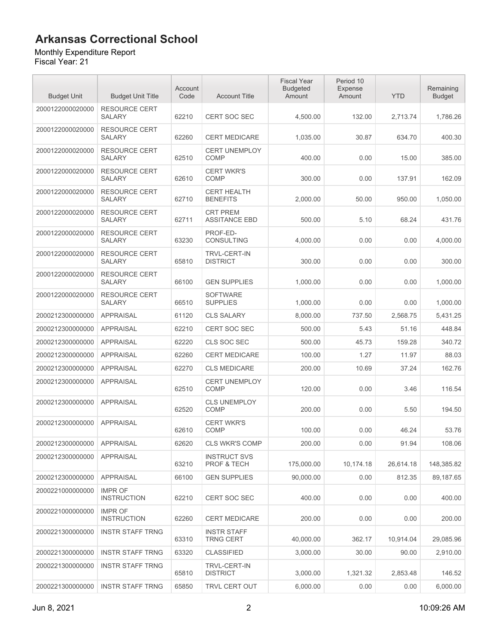#### Monthly Expenditure Report

| <b>Budget Unit</b> | <b>Budget Unit Title</b>              | Account<br>Code | <b>Account Title</b>                    | <b>Fiscal Year</b><br><b>Budgeted</b><br>Amount | Period 10<br><b>Expense</b><br>Amount | <b>YTD</b> | Remaining<br><b>Budget</b> |
|--------------------|---------------------------------------|-----------------|-----------------------------------------|-------------------------------------------------|---------------------------------------|------------|----------------------------|
| 2000122000020000   | <b>RESOURCE CERT</b><br><b>SALARY</b> | 62210           | <b>CERT SOC SEC</b>                     | 4,500.00                                        | 132.00                                | 2,713.74   | 1.786.26                   |
| 2000122000020000   | <b>RESOURCE CERT</b><br><b>SALARY</b> | 62260           | <b>CERT MEDICARE</b>                    | 1,035.00                                        | 30.87                                 | 634.70     | 400.30                     |
| 2000122000020000   | <b>RESOURCE CERT</b><br><b>SALARY</b> | 62510           | <b>CERT UNEMPLOY</b><br><b>COMP</b>     | 400.00                                          | 0.00                                  | 15.00      | 385.00                     |
| 2000122000020000   | <b>RESOURCE CERT</b><br><b>SALARY</b> | 62610           | <b>CERT WKR'S</b><br><b>COMP</b>        | 300.00                                          | 0.00                                  | 137.91     | 162.09                     |
| 2000122000020000   | <b>RESOURCE CERT</b><br><b>SALARY</b> | 62710           | <b>CERT HEALTH</b><br><b>BENEFITS</b>   | 2,000.00                                        | 50.00                                 | 950.00     | 1,050.00                   |
| 2000122000020000   | <b>RESOURCE CERT</b><br><b>SALARY</b> | 62711           | <b>CRT PREM</b><br><b>ASSITANCE EBD</b> | 500.00                                          | 5.10                                  | 68.24      | 431.76                     |
| 2000122000020000   | <b>RESOURCE CERT</b><br><b>SALARY</b> | 63230           | PROF-ED-<br>CONSULTING                  | 4,000.00                                        | 0.00                                  | 0.00       | 4,000.00                   |
| 2000122000020000   | <b>RESOURCE CERT</b><br><b>SALARY</b> | 65810           | <b>TRVL-CERT-IN</b><br><b>DISTRICT</b>  | 300.00                                          | 0.00                                  | 0.00       | 300.00                     |
| 2000122000020000   | <b>RESOURCE CERT</b><br><b>SALARY</b> | 66100           | <b>GEN SUPPLIES</b>                     | 1,000.00                                        | 0.00                                  | 0.00       | 1,000.00                   |
| 2000122000020000   | <b>RESOURCE CERT</b><br><b>SALARY</b> | 66510           | <b>SOFTWARE</b><br><b>SUPPLIES</b>      | 1.000.00                                        | 0.00                                  | 0.00       | 1,000.00                   |
| 2000212300000000   | <b>APPRAISAL</b>                      | 61120           | <b>CLS SALARY</b>                       | 8,000.00                                        | 737.50                                | 2,568.75   | 5,431.25                   |
| 2000212300000000   | <b>APPRAISAL</b>                      | 62210           | CERT SOC SEC                            | 500.00                                          | 5.43                                  | 51.16      | 448.84                     |
| 2000212300000000   | <b>APPRAISAL</b>                      | 62220           | CLS SOC SEC                             | 500.00                                          | 45.73                                 | 159.28     | 340.72                     |
| 2000212300000000   | <b>APPRAISAL</b>                      | 62260           | <b>CERT MEDICARE</b>                    | 100.00                                          | 1.27                                  | 11.97      | 88.03                      |
| 2000212300000000   | <b>APPRAISAL</b>                      | 62270           | <b>CLS MEDICARE</b>                     | 200.00                                          | 10.69                                 | 37.24      | 162.76                     |
| 2000212300000000   | <b>APPRAISAL</b>                      | 62510           | <b>CERT UNEMPLOY</b><br><b>COMP</b>     | 120.00                                          | 0.00                                  | 3.46       | 116.54                     |
| 2000212300000000   | <b>APPRAISAL</b>                      | 62520           | <b>CLS UNEMPLOY</b><br>COMP             | 200.00                                          | 0.00                                  | 5.50       | 194.50                     |
| 2000212300000000   | <b>APPRAISAL</b>                      | 62610           | <b>CERT WKR'S</b><br><b>COMP</b>        | 100.00                                          | 0.00                                  | 46.24      | 53.76                      |
| 2000212300000000   | <b>APPRAISAL</b>                      | 62620           | <b>CLS WKR'S COMP</b>                   | 200.00                                          | 0.00                                  | 91.94      | 108.06                     |
| 2000212300000000   | <b>APPRAISAL</b>                      | 63210           | <b>INSTRUCT SVS</b><br>PROF & TECH      | 175,000.00                                      | 10,174.18                             | 26,614.18  | 148,385.82                 |
| 2000212300000000   | <b>APPRAISAL</b>                      | 66100           | <b>GEN SUPPLIES</b>                     | 90,000.00                                       | 0.00                                  | 812.35     | 89,187.65                  |
| 2000221000000000   | <b>IMPR OF</b><br><b>INSTRUCTION</b>  | 62210           | <b>CERT SOC SEC</b>                     | 400.00                                          | 0.00                                  | 0.00       | 400.00                     |
| 2000221000000000   | <b>IMPR OF</b><br><b>INSTRUCTION</b>  | 62260           | <b>CERT MEDICARE</b>                    | 200.00                                          | 0.00                                  | 0.00       | 200.00                     |
| 2000221300000000   | <b>INSTR STAFF TRNG</b>               | 63310           | <b>INSTR STAFF</b><br><b>TRNG CERT</b>  | 40.000.00                                       | 362.17                                | 10,914.04  | 29,085.96                  |
| 2000221300000000   | <b>INSTR STAFF TRNG</b>               | 63320           | <b>CLASSIFIED</b>                       | 3,000.00                                        | 30.00                                 | 90.00      | 2,910.00                   |
| 2000221300000000   | <b>INSTR STAFF TRNG</b>               | 65810           | TRVL-CERT-IN<br><b>DISTRICT</b>         | 3,000.00                                        | 1,321.32                              | 2,853.48   | 146.52                     |
| 2000221300000000   | <b>INSTR STAFF TRNG</b>               | 65850           | <b>TRVL CERT OUT</b>                    | 6,000.00                                        | 0.00                                  | 0.00       | 6,000.00                   |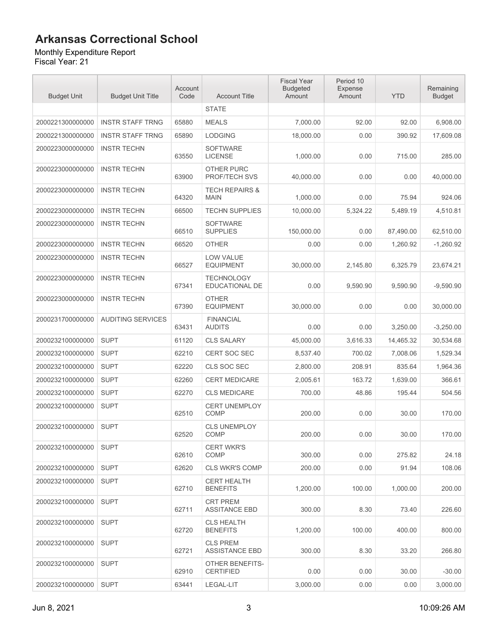#### Monthly Expenditure Report

| <b>Budget Unit</b> | <b>Budget Unit Title</b> | Account<br>Code | <b>Account Title</b>                     | <b>Fiscal Year</b><br><b>Budgeted</b><br>Amount | Period 10<br><b>Expense</b><br>Amount | <b>YTD</b> | Remaining<br><b>Budget</b> |
|--------------------|--------------------------|-----------------|------------------------------------------|-------------------------------------------------|---------------------------------------|------------|----------------------------|
|                    |                          |                 | <b>STATE</b>                             |                                                 |                                       |            |                            |
| 2000221300000000   | <b>INSTR STAFF TRNG</b>  | 65880           | <b>MEALS</b>                             | 7,000.00                                        | 92.00                                 | 92.00      | 6,908.00                   |
| 2000221300000000   | <b>INSTR STAFF TRNG</b>  | 65890           | <b>LODGING</b>                           | 18,000.00                                       | 0.00                                  | 390.92     | 17,609.08                  |
| 2000223000000000   | <b>INSTR TECHN</b>       | 63550           | <b>SOFTWARE</b><br><b>LICENSE</b>        | 1,000.00                                        | 0.00                                  | 715.00     | 285.00                     |
| 2000223000000000   | <b>INSTR TECHN</b>       | 63900           | OTHER PURC<br><b>PROF/TECH SVS</b>       | 40,000.00                                       | 0.00                                  | 0.00       | 40.000.00                  |
| 2000223000000000   | <b>INSTR TECHN</b>       | 64320           | <b>TECH REPAIRS &amp;</b><br><b>MAIN</b> | 1,000.00                                        | 0.00                                  | 75.94      | 924.06                     |
| 2000223000000000   | <b>INSTR TECHN</b>       | 66500           | <b>TECHN SUPPLIES</b>                    | 10,000.00                                       | 5,324.22                              | 5,489.19   | 4,510.81                   |
| 2000223000000000   | <b>INSTR TECHN</b>       | 66510           | <b>SOFTWARE</b><br><b>SUPPLIES</b>       | 150,000.00                                      | 0.00                                  | 87,490.00  | 62,510.00                  |
| 2000223000000000   | <b>INSTR TECHN</b>       | 66520           | OTHER                                    | 0.00                                            | 0.00                                  | 1.260.92   | $-1.260.92$                |
| 2000223000000000   | <b>INSTR TECHN</b>       | 66527           | <b>LOW VALUE</b><br><b>EQUIPMENT</b>     | 30,000.00                                       | 2,145.80                              | 6,325.79   | 23.674.21                  |
| 2000223000000000   | <b>INSTR TECHN</b>       | 67341           | <b>TECHNOLOGY</b><br>EDUCATIONAL DE      | 0.00                                            | 9.590.90                              | 9,590.90   | $-9,590.90$                |
| 2000223000000000   | <b>INSTR TECHN</b>       | 67390           | <b>OTHER</b><br><b>EQUIPMENT</b>         | 30,000.00                                       | 0.00                                  | 0.00       | 30,000.00                  |
| 2000231700000000   | <b>AUDITING SERVICES</b> | 63431           | <b>FINANCIAL</b><br><b>AUDITS</b>        | 0.00                                            | 0.00                                  | 3,250.00   | $-3,250.00$                |
| 2000232100000000   | <b>SUPT</b>              | 61120           | <b>CLS SALARY</b>                        | 45,000.00                                       | 3,616.33                              | 14,465.32  | 30,534.68                  |
| 2000232100000000   | <b>SUPT</b>              | 62210           | <b>CERT SOC SEC</b>                      | 8,537.40                                        | 700.02                                | 7,008.06   | 1,529.34                   |
| 2000232100000000   | <b>SUPT</b>              | 62220           | CLS SOC SEC                              | 2,800.00                                        | 208.91                                | 835.64     | 1,964.36                   |
| 2000232100000000   | <b>SUPT</b>              | 62260           | <b>CERT MEDICARE</b>                     | 2,005.61                                        | 163.72                                | 1,639.00   | 366.61                     |
| 2000232100000000   | <b>SUPT</b>              | 62270           | <b>CLS MEDICARE</b>                      | 700.00                                          | 48.86                                 | 195.44     | 504.56                     |
| 2000232100000000   | <b>SUPT</b>              | 62510           | <b>CERT UNEMPLOY</b><br>COMP             | 200.00                                          | 0.00                                  | 30.00      | 170.00                     |
| 2000232100000000   | <b>SUPT</b>              | 62520           | <b>CLS UNEMPLOY</b><br>COMP              | 200.00                                          | 0.00                                  | 30.00      | 170.00                     |
| 2000232100000000   | <b>SUPT</b>              | 62610           | <b>CERT WKR'S</b><br>COMP                | 300.00                                          | 0.00                                  | 275.82     | 24.18                      |
| 2000232100000000   | <b>SUPT</b>              | 62620           | <b>CLS WKR'S COMP</b>                    | 200.00                                          | 0.00                                  | 91.94      | 108.06                     |
| 2000232100000000   | <b>SUPT</b>              | 62710           | CERT HEALTH<br><b>BENEFITS</b>           | 1.200.00                                        | 100.00                                | 1,000.00   | 200.00                     |
| 2000232100000000   | <b>SUPT</b>              | 62711           | <b>CRT PREM</b><br><b>ASSITANCE EBD</b>  | 300.00                                          | 8.30                                  | 73.40      | 226.60                     |
| 2000232100000000   | <b>SUPT</b>              | 62720           | <b>CLS HEALTH</b><br><b>BENEFITS</b>     | 1,200.00                                        | 100.00                                | 400.00     | 800.00                     |
| 2000232100000000   | <b>SUPT</b>              | 62721           | <b>CLS PREM</b><br><b>ASSISTANCE EBD</b> | 300.00                                          | 8.30                                  | 33.20      | 266.80                     |
| 2000232100000000   | <b>SUPT</b>              | 62910           | OTHER BENEFITS-<br><b>CERTIFIED</b>      | 0.00                                            | 0.00                                  | 30.00      | $-30.00$                   |
| 2000232100000000   | <b>SUPT</b>              | 63441           | LEGAL-LIT                                | 3,000.00                                        | 0.00                                  | 0.00       | 3,000.00                   |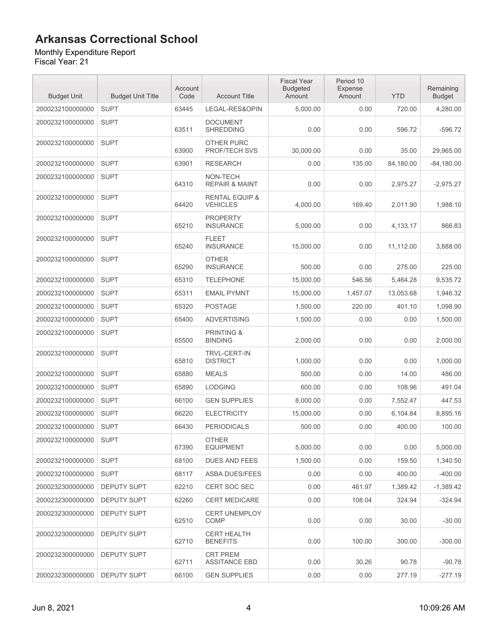Monthly Expenditure Report Fiscal Year: 21

| <b>Budget Unit</b> | <b>Budget Unit Title</b> | Account<br>Code | <b>Account Title</b>                         | <b>Fiscal Year</b><br><b>Budgeted</b><br>Amount | Period 10<br>Expense<br>Amount | <b>YTD</b> | Remaining<br><b>Budget</b> |
|--------------------|--------------------------|-----------------|----------------------------------------------|-------------------------------------------------|--------------------------------|------------|----------------------------|
| 2000232100000000   | <b>SUPT</b>              | 63445           | LEGAL-RES&OPIN                               | 5,000.00                                        | 0.00                           | 720.00     | 4,280.00                   |
| 2000232100000000   | <b>SUPT</b>              | 63511           | <b>DOCUMENT</b><br><b>SHREDDING</b>          | 0.00                                            | 0.00                           | 596.72     | $-596.72$                  |
| 2000232100000000   | <b>SUPT</b>              | 63900           | <b>OTHER PURC</b><br>PROF/TECH SVS           | 30,000.00                                       | 0.00                           | 35.00      | 29,965.00                  |
| 2000232100000000   | <b>SUPT</b>              | 63901           | <b>RESEARCH</b>                              | 0.00                                            | 135.00                         | 84,180.00  | $-84,180.00$               |
| 2000232100000000   | <b>SUPT</b>              | 64310           | NON-TECH<br><b>REPAIR &amp; MAINT</b>        | 0.00                                            | 0.00                           | 2,975.27   | $-2,975.27$                |
| 2000232100000000   | <b>SUPT</b>              | 64420           | <b>RENTAL EQUIP &amp;</b><br><b>VEHICLES</b> | 4,000.00                                        | 169.40                         | 2,011.90   | 1,988.10                   |
| 2000232100000000   | <b>SUPT</b>              | 65210           | <b>PROPERTY</b><br><b>INSURANCE</b>          | 5,000.00                                        | 0.00                           | 4,133.17   | 866.83                     |
| 2000232100000000   | <b>SUPT</b>              | 65240           | <b>FLEET</b><br><b>INSURANCE</b>             | 15,000.00                                       | 0.00                           | 11,112.00  | 3,888.00                   |
| 2000232100000000   | <b>SUPT</b>              | 65290           | <b>OTHER</b><br><b>INSURANCE</b>             | 500.00                                          | 0.00                           | 275.00     | 225.00                     |
| 2000232100000000   | <b>SUPT</b>              | 65310           | <b>TELEPHONE</b>                             | 15,000.00                                       | 546.56                         | 5,464.28   | 9,535.72                   |
| 2000232100000000   | <b>SUPT</b>              | 65311           | <b>EMAIL PYMNT</b>                           | 15,000.00                                       | 1,457.07                       | 13,053.68  | 1,946.32                   |
| 2000232100000000   | <b>SUPT</b>              | 65320           | <b>POSTAGE</b>                               | 1,500.00                                        | 220.00                         | 401.10     | 1.098.90                   |
| 2000232100000000   | <b>SUPT</b>              | 65400           | <b>ADVERTISING</b>                           | 1,500.00                                        | 0.00                           | 0.00       | 1,500.00                   |
| 2000232100000000   | <b>SUPT</b>              | 65500           | <b>PRINTING &amp;</b><br><b>BINDING</b>      | 2,000.00                                        | 0.00                           | 0.00       | 2,000.00                   |
| 2000232100000000   | <b>SUPT</b>              | 65810           | <b>TRVL-CERT-IN</b><br><b>DISTRICT</b>       | 1,000.00                                        | 0.00                           | 0.00       | 1,000.00                   |
| 2000232100000000   | <b>SUPT</b>              | 65880           | <b>MEALS</b>                                 | 500.00                                          | 0.00                           | 14.00      | 486.00                     |
| 2000232100000000   | <b>SUPT</b>              | 65890           | <b>LODGING</b>                               | 600.00                                          | 0.00                           | 108.96     | 491.04                     |
| 2000232100000000   | <b>SUPT</b>              | 66100           | <b>GEN SUPPLIES</b>                          | 8,000.00                                        | 0.00                           | 7,552.47   | 447.53                     |
| 2000232100000000   | <b>SUPT</b>              | 66220           | <b>ELECTRICITY</b>                           | 15,000.00                                       | 0.00                           | 6,104.84   | 8,895.16                   |
| 2000232100000000   | <b>SUPT</b>              | 66430           | <b>PERIODICALS</b>                           | 500.00                                          | 0.00                           | 400.00     | 100.00                     |
| 2000232100000000   | <b>SUPT</b>              | 67390           | <b>OTHER</b><br><b>EQUIPMENT</b>             | 5,000.00                                        | 0.00                           | 0.00       | 5,000.00                   |
| 2000232100000000   | <b>SUPT</b>              | 68100           | <b>DUES AND FEES</b>                         | 1,500.00                                        | 0.00                           | 159.50     | 1,340.50                   |
| 2000232100000000   | <b>SUPT</b>              | 68117           | ASBA DUES/FEES                               | 0.00                                            | 0.00                           | 400.00     | $-400.00$                  |
| 2000232300000000   | <b>DEPUTY SUPT</b>       | 62210           | CERT SOC SEC                                 | 0.00                                            | 461.97                         | 1,389.42   | $-1,389.42$                |
| 2000232300000000   | <b>DEPUTY SUPT</b>       | 62260           | <b>CERT MEDICARE</b>                         | 0.00                                            | 108.04                         | 324.94     | $-324.94$                  |
| 2000232300000000   | <b>DEPUTY SUPT</b>       | 62510           | <b>CERT UNEMPLOY</b><br><b>COMP</b>          | 0.00                                            | 0.00                           | 30.00      | $-30.00$                   |
| 2000232300000000   | <b>DEPUTY SUPT</b>       | 62710           | <b>CERT HEALTH</b><br><b>BENEFITS</b>        | 0.00                                            | 100.00                         | 300.00     | $-300.00$                  |
| 2000232300000000   | <b>DEPUTY SUPT</b>       | 62711           | <b>CRT PREM</b><br><b>ASSITANCE EBD</b>      | 0.00                                            | 30.26                          | 90.78      | $-90.78$                   |
| 2000232300000000   | <b>DEPUTY SUPT</b>       | 66100           | <b>GEN SUPPLIES</b>                          | 0.00                                            | 0.00                           | 277.19     | $-277.19$                  |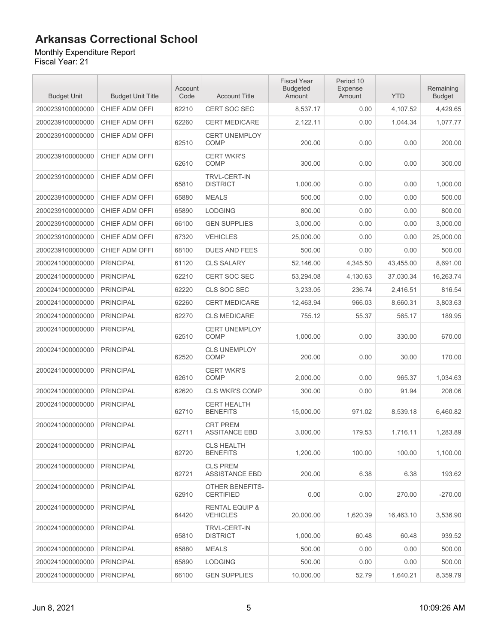#### Monthly Expenditure Report

| <b>Budget Unit</b> | <b>Budget Unit Title</b> | Account<br>Code | <b>Account Title</b>                         | <b>Fiscal Year</b><br><b>Budgeted</b><br>Amount | Period 10<br><b>Expense</b><br>Amount | <b>YTD</b> | Remaining<br><b>Budget</b> |
|--------------------|--------------------------|-----------------|----------------------------------------------|-------------------------------------------------|---------------------------------------|------------|----------------------------|
| 2000239100000000   | CHIEF ADM OFFI           | 62210           | <b>CERT SOC SEC</b>                          | 8,537.17                                        | 0.00                                  | 4,107.52   | 4,429.65                   |
| 2000239100000000   | CHIEF ADM OFFI           | 62260           | <b>CERT MEDICARE</b>                         | 2,122.11                                        | 0.00                                  | 1.044.34   | 1.077.77                   |
| 2000239100000000   | CHIEF ADM OFFI           | 62510           | <b>CERT UNEMPLOY</b><br><b>COMP</b>          | 200.00                                          | 0.00                                  | 0.00       | 200.00                     |
| 2000239100000000   | CHIEF ADM OFFI           | 62610           | <b>CERT WKR'S</b><br><b>COMP</b>             | 300.00                                          | 0.00                                  | 0.00       | 300.00                     |
| 2000239100000000   | CHIEF ADM OFFI           | 65810           | TRVL-CERT-IN<br><b>DISTRICT</b>              | 1,000.00                                        | 0.00                                  | 0.00       | 1,000.00                   |
| 2000239100000000   | CHIEF ADM OFFI           | 65880           | <b>MEALS</b>                                 | 500.00                                          | 0.00                                  | 0.00       | 500.00                     |
| 2000239100000000   | CHIEF ADM OFFI           | 65890           | <b>LODGING</b>                               | 800.00                                          | 0.00                                  | 0.00       | 800.00                     |
| 2000239100000000   | <b>CHIEF ADM OFFI</b>    | 66100           | <b>GEN SUPPLIES</b>                          | 3,000.00                                        | 0.00                                  | 0.00       | 3,000.00                   |
| 2000239100000000   | CHIEF ADM OFFI           | 67320           | <b>VEHICLES</b>                              | 25,000.00                                       | 0.00                                  | 0.00       | 25,000.00                  |
| 2000239100000000   | CHIEF ADM OFFI           | 68100           | <b>DUES AND FEES</b>                         | 500.00                                          | 0.00                                  | 0.00       | 500.00                     |
| 2000241000000000   | <b>PRINCIPAL</b>         | 61120           | <b>CLS SALARY</b>                            | 52,146.00                                       | 4,345.50                              | 43.455.00  | 8,691.00                   |
| 2000241000000000   | <b>PRINCIPAL</b>         | 62210           | <b>CERT SOC SEC</b>                          | 53,294.08                                       | 4,130.63                              | 37,030.34  | 16,263.74                  |
| 2000241000000000   | <b>PRINCIPAL</b>         | 62220           | CLS SOC SEC                                  | 3,233.05                                        | 236.74                                | 2,416.51   | 816.54                     |
| 2000241000000000   | <b>PRINCIPAL</b>         | 62260           | <b>CERT MEDICARE</b>                         | 12,463.94                                       | 966.03                                | 8.660.31   | 3,803.63                   |
| 2000241000000000   | <b>PRINCIPAL</b>         | 62270           | <b>CLS MEDICARE</b>                          | 755.12                                          | 55.37                                 | 565.17     | 189.95                     |
| 2000241000000000   | <b>PRINCIPAL</b>         | 62510           | <b>CERT UNEMPLOY</b><br><b>COMP</b>          | 1,000.00                                        | 0.00                                  | 330.00     | 670.00                     |
| 2000241000000000   | <b>PRINCIPAL</b>         | 62520           | <b>CLS UNEMPLOY</b><br><b>COMP</b>           | 200.00                                          | 0.00                                  | 30.00      | 170.00                     |
| 2000241000000000   | <b>PRINCIPAL</b>         | 62610           | <b>CERT WKR'S</b><br><b>COMP</b>             | 2,000.00                                        | 0.00                                  | 965.37     | 1,034.63                   |
| 2000241000000000   | <b>PRINCIPAL</b>         | 62620           | <b>CLS WKR'S COMP</b>                        | 300.00                                          | 0.00                                  | 91.94      | 208.06                     |
| 2000241000000000   | <b>PRINCIPAL</b>         | 62710           | <b>CERT HEALTH</b><br><b>BENEFITS</b>        | 15,000.00                                       | 971.02                                | 8,539.18   | 6,460.82                   |
| 2000241000000000   | <b>PRINCIPAL</b>         | 62711           | <b>CRT PREM</b><br><b>ASSITANCE EBD</b>      | 3,000.00                                        | 179.53                                | 1,716.11   | 1,283.89                   |
| 2000241000000000   | <b>PRINCIPAL</b>         | 62720           | <b>CLS HEALTH</b><br><b>BENEFITS</b>         | 1,200.00                                        | 100.00                                | 100.00     | 1,100.00                   |
| 2000241000000000   | <b>PRINCIPAL</b>         | 62721           | <b>CLS PREM</b><br><b>ASSISTANCE EBD</b>     | 200.00                                          | 6.38                                  | 6.38       | 193.62                     |
| 2000241000000000   | <b>PRINCIPAL</b>         | 62910           | <b>OTHER BENEFITS-</b><br><b>CERTIFIED</b>   | 0.00                                            | 0.00                                  | 270.00     | $-270.00$                  |
| 2000241000000000   | <b>PRINCIPAL</b>         | 64420           | <b>RENTAL EQUIP &amp;</b><br><b>VEHICLES</b> | 20,000.00                                       | 1,620.39                              | 16,463.10  | 3,536.90                   |
| 2000241000000000   | <b>PRINCIPAL</b>         | 65810           | TRVL-CERT-IN<br><b>DISTRICT</b>              | 1,000.00                                        | 60.48                                 | 60.48      | 939.52                     |
| 2000241000000000   | <b>PRINCIPAL</b>         | 65880           | <b>MEALS</b>                                 | 500.00                                          | 0.00                                  | 0.00       | 500.00                     |
| 2000241000000000   | <b>PRINCIPAL</b>         | 65890           | LODGING                                      | 500.00                                          | 0.00                                  | 0.00       | 500.00                     |
| 2000241000000000   | <b>PRINCIPAL</b>         | 66100           | <b>GEN SUPPLIES</b>                          | 10,000.00                                       | 52.79                                 | 1,640.21   | 8,359.79                   |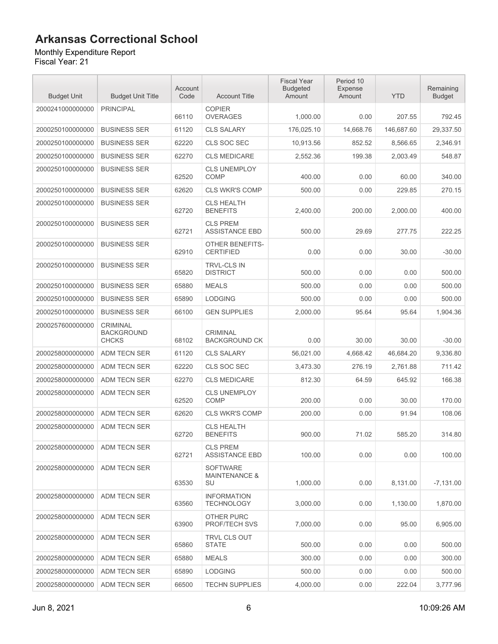#### Monthly Expenditure Report

| <b>Budget Unit</b> | <b>Budget Unit Title</b>                             | Account<br>Code | <b>Account Title</b>                              | <b>Fiscal Year</b><br><b>Budgeted</b><br>Amount | Period 10<br><b>Expense</b><br>Amount | <b>YTD</b> | Remaining<br><b>Budget</b> |
|--------------------|------------------------------------------------------|-----------------|---------------------------------------------------|-------------------------------------------------|---------------------------------------|------------|----------------------------|
| 2000241000000000   | <b>PRINCIPAL</b>                                     | 66110           | <b>COPIER</b><br><b>OVERAGES</b>                  | 1,000.00                                        | 0.00                                  | 207.55     | 792.45                     |
| 2000250100000000   | <b>BUSINESS SER</b>                                  | 61120           | <b>CLS SALARY</b>                                 | 176.025.10                                      | 14,668.76                             | 146,687.60 | 29,337.50                  |
| 2000250100000000   | <b>BUSINESS SER</b>                                  | 62220           | CLS SOC SEC                                       | 10,913.56                                       | 852.52                                | 8,566.65   | 2,346.91                   |
| 2000250100000000   | <b>BUSINESS SER</b>                                  | 62270           | <b>CLS MEDICARE</b>                               | 2,552.36                                        | 199.38                                | 2,003.49   | 548.87                     |
| 2000250100000000   | <b>BUSINESS SER</b>                                  | 62520           | <b>CLS UNEMPLOY</b><br><b>COMP</b>                | 400.00                                          | 0.00                                  | 60.00      | 340.00                     |
| 2000250100000000   | <b>BUSINESS SER</b>                                  | 62620           | <b>CLS WKR'S COMP</b>                             | 500.00                                          | 0.00                                  | 229.85     | 270.15                     |
| 2000250100000000   | <b>BUSINESS SER</b>                                  | 62720           | <b>CLS HEALTH</b><br><b>BENEFITS</b>              | 2,400.00                                        | 200.00                                | 2,000.00   | 400.00                     |
| 2000250100000000   | <b>BUSINESS SER</b>                                  | 62721           | <b>CLS PREM</b><br><b>ASSISTANCE EBD</b>          | 500.00                                          | 29.69                                 | 277.75     | 222.25                     |
| 2000250100000000   | <b>BUSINESS SER</b>                                  | 62910           | OTHER BENEFITS-<br><b>CERTIFIED</b>               | 0.00                                            | 0.00                                  | 30.00      | $-30.00$                   |
| 2000250100000000   | <b>BUSINESS SER</b>                                  | 65820           | TRVL-CLS IN<br><b>DISTRICT</b>                    | 500.00                                          | 0.00                                  | 0.00       | 500.00                     |
| 2000250100000000   | <b>BUSINESS SER</b>                                  | 65880           | <b>MEALS</b>                                      | 500.00                                          | 0.00                                  | 0.00       | 500.00                     |
| 2000250100000000   | <b>BUSINESS SER</b>                                  | 65890           | <b>LODGING</b>                                    | 500.00                                          | 0.00                                  | 0.00       | 500.00                     |
| 2000250100000000   | <b>BUSINESS SER</b>                                  | 66100           | <b>GEN SUPPLIES</b>                               | 2,000.00                                        | 95.64                                 | 95.64      | 1,904.36                   |
| 2000257600000000   | <b>CRIMINAL</b><br><b>BACKGROUND</b><br><b>CHCKS</b> | 68102           | <b>CRIMINAL</b><br><b>BACKGROUND CK</b>           | 0.00                                            | 30.00                                 | 30.00      | $-30.00$                   |
| 2000258000000000   | <b>ADM TECN SER</b>                                  | 61120           | <b>CLS SALARY</b>                                 | 56,021.00                                       | 4,668.42                              | 46,684.20  | 9,336.80                   |
| 2000258000000000   | <b>ADM TECN SER</b>                                  | 62220           | CLS SOC SEC                                       | 3,473.30                                        | 276.19                                | 2,761.88   | 711.42                     |
| 2000258000000000   | <b>ADM TECN SER</b>                                  | 62270           | <b>CLS MEDICARE</b>                               | 812.30                                          | 64.59                                 | 645.92     | 166.38                     |
| 2000258000000000   | <b>ADM TECN SER</b>                                  | 62520           | <b>CLS UNEMPLOY</b><br><b>COMP</b>                | 200.00                                          | 0.00                                  | 30.00      | 170.00                     |
| 2000258000000000   | ADM TECN SER                                         | 62620           | <b>CLS WKR'S COMP</b>                             | 200.00                                          | 0.00                                  | 91.94      | 108.06                     |
| 2000258000000000   | <b>ADM TECN SER</b>                                  | 62720           | <b>CLS HEALTH</b><br><b>BENEFITS</b>              | 900.00                                          | 71.02                                 | 585.20     | 314.80                     |
| 2000258000000000   | ADM TECN SER                                         | 62721           | <b>CLS PREM</b><br><b>ASSISTANCE EBD</b>          | 100.00                                          | 0.00                                  | 0.00       | 100.00                     |
| 2000258000000000   | ADM TECN SER                                         | 63530           | <b>SOFTWARE</b><br><b>MAINTENANCE &amp;</b><br>SU | 1,000.00                                        | 0.00                                  | 8,131.00   | $-7,131.00$                |
| 2000258000000000   | ADM TECN SER                                         | 63560           | <b>INFORMATION</b><br><b>TECHNOLOGY</b>           | 3,000.00                                        | 0.00                                  | 1,130.00   | 1,870.00                   |
| 2000258000000000   | ADM TECN SER                                         | 63900           | OTHER PURC<br>PROF/TECH SVS                       | 7.000.00                                        | 0.00                                  | 95.00      | 6,905.00                   |
| 2000258000000000   | ADM TECN SER                                         | 65860           | TRVL CLS OUT<br><b>STATE</b>                      | 500.00                                          | 0.00                                  | 0.00       | 500.00                     |
| 2000258000000000   | <b>ADM TECN SER</b>                                  | 65880           | <b>MEALS</b>                                      | 300.00                                          | 0.00                                  | 0.00       | 300.00                     |
| 2000258000000000   | ADM TECN SER                                         | 65890           | <b>LODGING</b>                                    | 500.00                                          | 0.00                                  | 0.00       | 500.00                     |
| 2000258000000000   | ADM TECN SER                                         | 66500           | <b>TECHN SUPPLIES</b>                             | 4,000.00                                        | 0.00                                  | 222.04     | 3,777.96                   |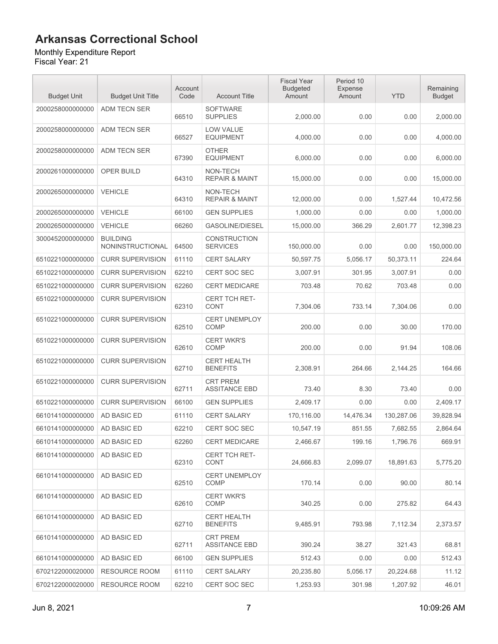Monthly Expenditure Report

| <b>Budget Unit</b> | <b>Budget Unit Title</b>            | Account<br>Code | <b>Account Title</b>                    | <b>Fiscal Year</b><br><b>Budgeted</b><br>Amount | Period 10<br>Expense<br>Amount | <b>YTD</b> | Remaining<br><b>Budget</b> |
|--------------------|-------------------------------------|-----------------|-----------------------------------------|-------------------------------------------------|--------------------------------|------------|----------------------------|
| 2000258000000000   | <b>ADM TECN SER</b>                 | 66510           | <b>SOFTWARE</b><br><b>SUPPLIES</b>      | 2,000.00                                        | 0.00                           | 0.00       | 2,000.00                   |
| 2000258000000000   | ADM TECN SER                        | 66527           | LOW VALUE<br><b>EQUIPMENT</b>           | 4,000.00                                        | 0.00                           | 0.00       | 4,000.00                   |
| 2000258000000000   | ADM TECN SER                        | 67390           | <b>OTHER</b><br><b>EQUIPMENT</b>        | 6,000.00                                        | 0.00                           | 0.00       | 6,000.00                   |
| 2000261000000000   | OPER BUILD                          | 64310           | NON-TECH<br><b>REPAIR &amp; MAINT</b>   | 15,000.00                                       | 0.00                           | 0.00       | 15,000.00                  |
| 2000265000000000   | <b>VEHICLE</b>                      | 64310           | NON-TECH<br><b>REPAIR &amp; MAINT</b>   | 12,000.00                                       | 0.00                           | 1,527.44   | 10,472.56                  |
| 2000265000000000   | <b>VEHICLE</b>                      | 66100           | <b>GEN SUPPLIES</b>                     | 1,000.00                                        | 0.00                           | 0.00       | 1,000.00                   |
| 2000265000000000   | <b>VEHICLE</b>                      | 66260           | <b>GASOLINE/DIESEL</b>                  | 15,000.00                                       | 366.29                         | 2,601.77   | 12,398.23                  |
| 3000452000000000   | <b>BUILDING</b><br>NONINSTRUCTIONAL | 64500           | <b>CONSTRUCTION</b><br><b>SERVICES</b>  | 150,000.00                                      | 0.00                           | 0.00       | 150,000.00                 |
| 6510221000000000   | <b>CURR SUPERVISION</b>             | 61110           | <b>CERT SALARY</b>                      | 50,597.75                                       | 5,056.17                       | 50,373.11  | 224.64                     |
| 6510221000000000   | <b>CURR SUPERVISION</b>             | 62210           | CERT SOC SEC                            | 3,007.91                                        | 301.95                         | 3,007.91   | 0.00                       |
| 6510221000000000   | <b>CURR SUPERVISION</b>             | 62260           | <b>CERT MEDICARE</b>                    | 703.48                                          | 70.62                          | 703.48     | 0.00                       |
| 6510221000000000   | <b>CURR SUPERVISION</b>             | 62310           | <b>CERT TCH RET-</b><br><b>CONT</b>     | 7,304.06                                        | 733.14                         | 7,304.06   | 0.00                       |
| 6510221000000000   | <b>CURR SUPERVISION</b>             | 62510           | <b>CERT UNEMPLOY</b><br><b>COMP</b>     | 200.00                                          | 0.00                           | 30.00      | 170.00                     |
| 6510221000000000   | <b>CURR SUPERVISION</b>             | 62610           | <b>CERT WKR'S</b><br>COMP               | 200.00                                          | 0.00                           | 91.94      | 108.06                     |
| 6510221000000000   | <b>CURR SUPERVISION</b>             | 62710           | <b>CERT HEALTH</b><br><b>BENEFITS</b>   | 2,308.91                                        | 264.66                         | 2,144.25   | 164.66                     |
| 6510221000000000   | <b>CURR SUPERVISION</b>             | 62711           | <b>CRT PREM</b><br><b>ASSITANCE EBD</b> | 73.40                                           | 8.30                           | 73.40      | 0.00                       |
| 6510221000000000   | <b>CURR SUPERVISION</b>             | 66100           | <b>GEN SUPPLIES</b>                     | 2,409.17                                        | 0.00                           | 0.00       | 2,409.17                   |
| 6610141000000000   | AD BASIC ED                         | 61110           | CERT SALARY                             | 170,116.00                                      | 14,476.34                      | 130,287.06 | 39,828.94                  |
| 6610141000000000   | AD BASIC ED                         | 62210           | CERT SOC SEC                            | 10,547.19                                       | 851.55                         | 7,682.55   | 2.864.64                   |
| 6610141000000000   | AD BASIC ED                         | 62260           | CERT MEDICARE                           | 2,466.67                                        | 199.16                         | 1,796.76   | 669.91                     |
| 6610141000000000   | AD BASIC ED                         | 62310           | <b>CERT TCH RET-</b><br><b>CONT</b>     | 24,666.83                                       | 2,099.07                       | 18,891.63  | 5,775.20                   |
| 6610141000000000   | AD BASIC ED                         | 62510           | <b>CERT UNEMPLOY</b><br><b>COMP</b>     | 170.14                                          | 0.00                           | 90.00      | 80.14                      |
| 6610141000000000   | AD BASIC ED                         | 62610           | <b>CERT WKR'S</b><br><b>COMP</b>        | 340.25                                          | 0.00                           | 275.82     | 64.43                      |
| 6610141000000000   | AD BASIC ED                         | 62710           | <b>CERT HEALTH</b><br><b>BENEFITS</b>   | 9,485.91                                        | 793.98                         | 7,112.34   | 2,373.57                   |
| 6610141000000000   | AD BASIC ED                         | 62711           | <b>CRT PREM</b><br><b>ASSITANCE EBD</b> | 390.24                                          | 38.27                          | 321.43     | 68.81                      |
| 6610141000000000   | AD BASIC ED                         | 66100           | <b>GEN SUPPLIES</b>                     | 512.43                                          | 0.00                           | 0.00       | 512.43                     |
| 6702122000020000   | RESOURCE ROOM                       | 61110           | <b>CERT SALARY</b>                      | 20,235.80                                       | 5,056.17                       | 20,224.68  | 11.12                      |
| 6702122000020000   | <b>RESOURCE ROOM</b>                | 62210           | CERT SOC SEC                            | 1,253.93                                        | 301.98                         | 1,207.92   | 46.01                      |